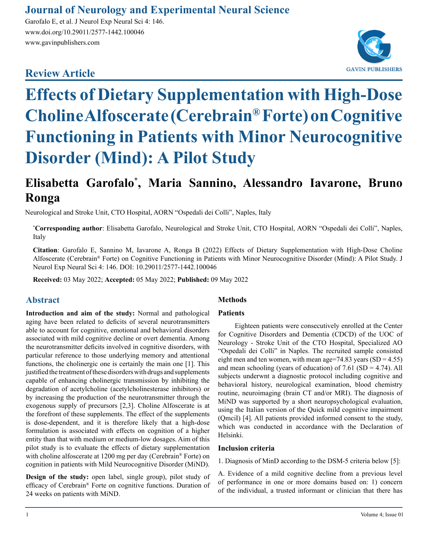### **Journal of Neurology and Experimental Neural Science**

Garofalo E, et al. J Neurol Exp Neural Sci 4: 146. www.doi.org/10.29011/2577-1442.100046 www.gavinpublishers.com

## **Review Article**



# **Effects of Dietary Supplementation with High-Dose Choline Alfoscerate (Cerebrain® Forte) on Cognitive Functioning in Patients with Minor Neurocognitive Disorder (Mind): A Pilot Study**

## **Elisabetta Garofalo\* , Maria Sannino, Alessandro Iavarone, Bruno Ronga**

Neurological and Stroke Unit, CTO Hospital, AORN "Ospedali dei Colli", Naples, Italy

**\* Corresponding author**: Elisabetta Garofalo, Neurological and Stroke Unit, CTO Hospital, AORN "Ospedali dei Colli", Naples, Italy

**Citation**: Garofalo E, Sannino M, Iavarone A, Ronga B (2022) Effects of Dietary Supplementation with High-Dose Choline Alfoscerate (Cerebrain® Forte) on Cognitive Functioning in Patients with Minor Neurocognitive Disorder (Mind): A Pilot Study. J Neurol Exp Neural Sci 4: 146. DOI: 10.29011/2577-1442.100046

**Received:** 03 May 2022; **Accepted:** 05 May 2022; **Published:** 09 May 2022

#### **Abstract**

**Introduction and aim of the study:** Normal and pathological aging have been related to deficits of several neurotransmitters able to account for cognitive, emotional and behavioral disorders associated with mild cognitive decline or overt dementia. Among the neurotransmitter deficits involved in cognitive disorders, with particular reference to those underlying memory and attentional functions, the cholinergic one is certainly the main one [1]. This justified the treatment of these disorders with drugs and supplements capable of enhancing cholinergic transmission by inhibiting the degradation of acetylcholine (acetylcholinesterase inhibitors) or by increasing the production of the neurotransmitter through the exogenous supply of precursors [2,3]. Choline Alfoscerate is at the forefront of these supplements. The effect of the supplements is dose-dependent, and it is therefore likely that a high-dose formulation is associated with effects on cognition of a higher entity than that with medium or medium-low dosages. Aim of this pilot study is to evaluate the effects of dietary supplementation with choline alfoscerate at 1200 mg per day (Cerebrain® Forte) on cognition in patients with Mild Neurocognitive Disorder (MiND).

**Design of the study:** open label, single group), pilot study of efficacy of Cerebrain® Forte on cognitive functions. Duration of 24 weeks on patients with MiND.

#### **Methods**

#### **Patients**

Eighteen patients were consecutively enrolled at the Center for Cognitive Disorders and Dementia (CDCD) of the UOC of Neurology - Stroke Unit of the CTO Hospital, Specialized AO "Ospedali dei Colli" in Naples. The recruited sample consisted eight men and ten women, with mean age=74.83 years  $(SD = 4.55)$ and mean schooling (years of education) of  $7.61$  (SD = 4.74). All subjects underwnt a diagnostic protocol including cognitive and behavioral history, neurological examination, blood chemistry routine, neuroimaging (brain CT and/or MRI). The diagnosis of MiND was supported by a short neuropsychological evaluation, using the Italian version of the Quick mild cognitive impairment (QmciI) [4]. All patients provided informed consent to the study, which was conducted in accordance with the Declaration of Helsinki.

#### **Inclusion criteria**

1. Diagnosis of MinD according to the DSM-5 criteria below [5]:

A. Evidence of a mild cognitive decline from a previous level of performance in one or more domains based on: 1) concern of the individual, a trusted informant or clinician that there has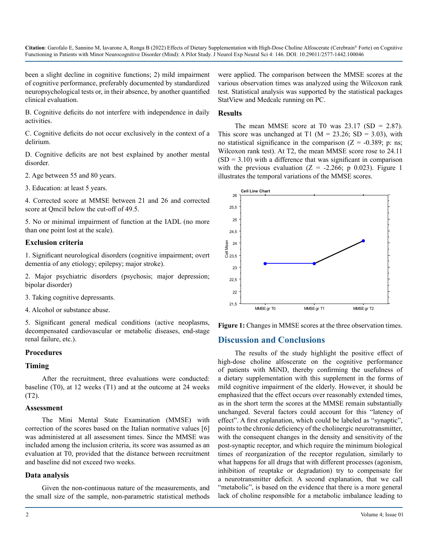been a slight decline in cognitive functions; 2) mild impairment of cognitive performance, preferably documented by standardized neuropsychological tests or, in their absence, by another quantified clinical evaluation.

B. Cognitive deficits do not interfere with independence in daily activities.

C. Cognitive deficits do not occur exclusively in the context of a delirium.

D. Cognitive deficits are not best explained by another mental disorder.

2. Age between 55 and 80 years.

3. Education: at least 5 years.

4. Corrected score at MMSE between 21 and 26 and corrected score at QmciI below the cut-off of 49.5.

5. No or minimal impairment of function at the IADL (no more than one point lost at the scale).

#### **Exclusion criteria**

1. Significant neurological disorders (cognitive impairment; overt dementia of any etiology; epilepsy; major stroke).

2. Major psychiatric disorders (psychosis; major depression; bipolar disorder)

3. Taking cognitive depressants.

4. Alcohol or substance abuse.

5. Significant general medical conditions (active neoplasms, decompensated cardiovascular or metabolic diseases, end-stage renal failure, etc.).

#### **Procedures**

#### **Timing**

After the recruitment, three evaluations were conducted: baseline (T0), at 12 weeks (T1) and at the outcome at 24 weeks (T2).

#### **Assessment**

The Mini Mental State Examination (MMSE) with correction of the scores based on the Italian normative values [6] was administered at all assessment times. Since the MMSE was included among the inclusion criteria, its score was assumed as an evaluation at T0, provided that the distance between recruitment and baseline did not exceed two weeks.

#### **Data analysis**

Given the non-continuous nature of the measurements, and the small size of the sample, non-parametric statistical methods were applied. The comparison between the MMSE scores at the various observation times was analyzed using the Wilcoxon rank test. Statistical analysis was supported by the statistical packages StatView and Medcalc running on PC.

#### **Results**

The mean MMSE score at T0 was  $23.17$  (SD = 2.87). This score was unchanged at T1 ( $M = 23.26$ ; SD = 3.03), with no statistical significance in the comparison  $(Z = -0.389; \text{ p: ns};$ Wilcoxon rank test). At T2, the mean MMSE score rose to 24.11  $(SD = 3.10)$  with a difference that was significant in comparison with the previous evaluation  $(Z = -2.266; p \ 0.023)$ . Figure 1 illustrates the temporal variations of the MMSE scores.



**Figure 1:** Changes in MMSE scores at the three observation times.

#### **Discussion and Conclusions**

The results of the study highlight the positive effect of high-dose choline alfoscerate on the cognitive performance of patients with MiND, thereby confirming the usefulness of a dietary supplementation with this supplement in the forms of mild cognitive impairment of the elderly. However, it should be emphasized that the effect occurs over reasonably extended times, as in the short term the scores at the MMSE remain substantially unchanged. Several factors could account for this "latency of effect". A first explanation, which could be labeled as "synaptic", points to the chronic deficiency of the cholinergic neurotransmitter, with the consequent changes in the density and sensitivity of the post-synaptic receptor, and which require the minimum biological times of reorganization of the receptor regulation, similarly to what happens for all drugs that with different processes (agonism, inhibition of reuptake or degradation) try to compensate for a neurotransmitter deficit. A second explanation, that we call "metabolic", is based on the evidence that there is a more general lack of choline responsible for a metabolic imbalance leading to